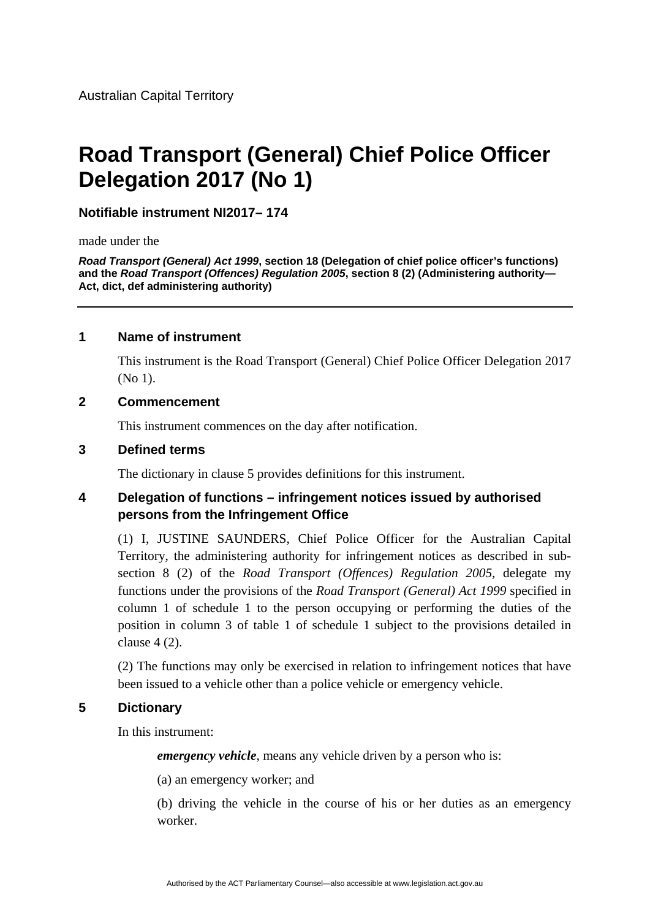# **Road Transport (General) Chief Police Officer Delegation 2017 (No 1)**

# **Notifiable instrument NI2017– 174**

made under the

*Road Transport (General) Act 1999***, section 18 (Delegation of chief police officer's functions) and the** *Road Transport (Offences) Regulation 2005***, section 8 (2) (Administering authority— Act, dict, def administering authority)** 

#### **1 Name of instrument**

This instrument is the Road Transport (General) Chief Police Officer Delegation 2017 (No 1).

#### **2 Commencement**

This instrument commences on the day after notification.

# **3 Defined terms**

The dictionary in clause 5 provides definitions for this instrument.

# **4 Delegation of functions – infringement notices issued by authorised persons from the Infringement Office**

(1) I, JUSTINE SAUNDERS, Chief Police Officer for the Australian Capital Territory, the administering authority for infringement notices as described in subsection 8 (2) of the *Road Transport (Offences) Regulation 2005*, delegate my functions under the provisions of the *Road Transport (General) Act 1999* specified in column 1 of schedule 1 to the person occupying or performing the duties of the position in column 3 of table 1 of schedule 1 subject to the provisions detailed in clause 4 (2).

(2) The functions may only be exercised in relation to infringement notices that have been issued to a vehicle other than a police vehicle or emergency vehicle.

#### **5 Dictionary**

In this instrument:

*emergency vehicle*, means any vehicle driven by a person who is:

(a) an emergency worker; and

(b) driving the vehicle in the course of his or her duties as an emergency worker.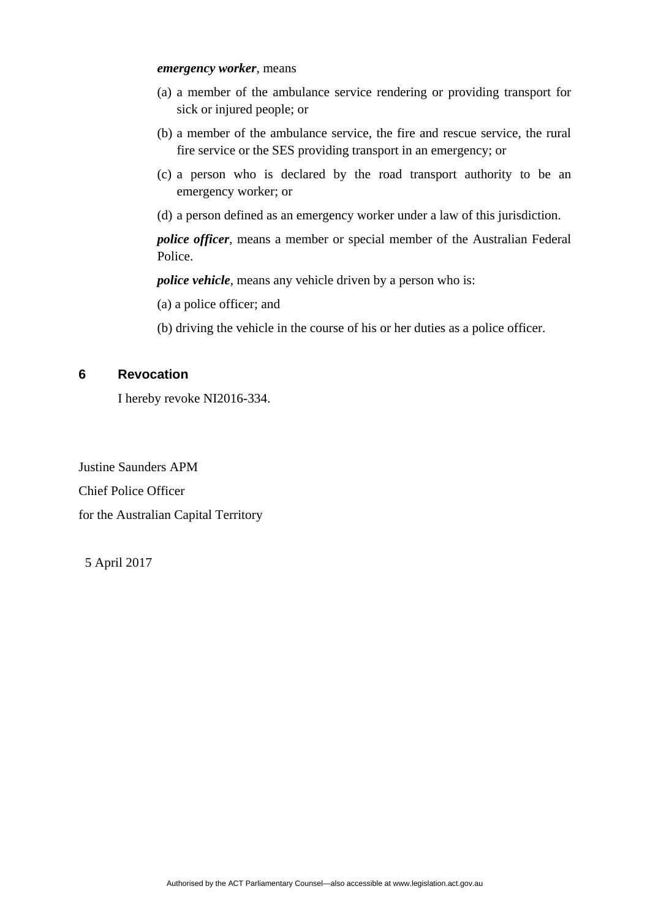#### *emergency worker*, means

- (a) a member of the ambulance service rendering or providing transport for sick or injured people; or
- (b) a member of the ambulance service, the fire and rescue service, the rural fire service or the SES providing transport in an emergency; or
- (c) a person who is declared by the road transport authority to be an emergency worker; or
- (d) a person defined as an emergency worker under a law of this jurisdiction.

*police officer*, means a member or special member of the Australian Federal Police.

*police vehicle*, means any vehicle driven by a person who is:

(a) a police officer; and

(b) driving the vehicle in the course of his or her duties as a police officer.

#### **6 Revocation**

I hereby revoke NI2016-334.

Justine Saunders APM Chief Police Officer for the Australian Capital Territory

5 April 2017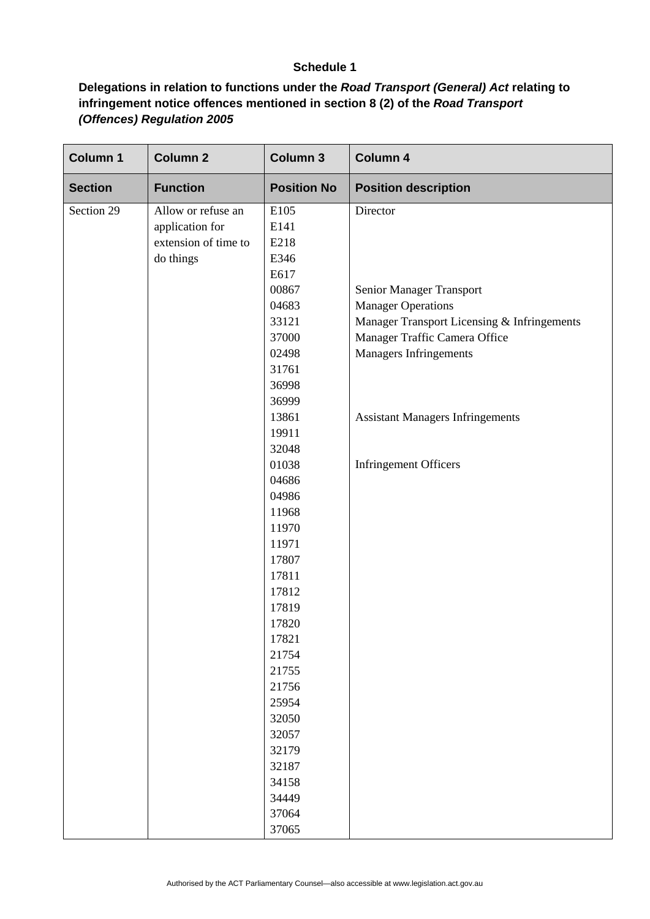# **Schedule 1**

# **Delegations in relation to functions under the** *Road Transport (General) Act* **relating to infringement notice offences mentioned in section 8 (2) of the** *Road Transport (Offences) Regulation 2005*

| <b>Column 1</b> | <b>Column 2</b>      | <b>Column 3</b>    | <b>Column 4</b>                             |
|-----------------|----------------------|--------------------|---------------------------------------------|
| <b>Section</b>  | <b>Function</b>      | <b>Position No</b> | <b>Position description</b>                 |
| Section 29      | Allow or refuse an   | E105               | Director                                    |
|                 | application for      | E141               |                                             |
|                 | extension of time to | E218               |                                             |
|                 | do things            | E346               |                                             |
|                 |                      | E617               |                                             |
|                 |                      | 00867              | Senior Manager Transport                    |
|                 |                      | 04683              | <b>Manager Operations</b>                   |
|                 |                      | 33121              | Manager Transport Licensing & Infringements |
|                 |                      | 37000              | Manager Traffic Camera Office               |
|                 |                      | 02498              | Managers Infringements                      |
|                 |                      | 31761              |                                             |
|                 |                      | 36998              |                                             |
|                 |                      | 36999              |                                             |
|                 |                      | 13861              | <b>Assistant Managers Infringements</b>     |
|                 |                      | 19911              |                                             |
|                 |                      | 32048              |                                             |
|                 |                      | 01038              | Infringement Officers                       |
|                 |                      | 04686              |                                             |
|                 |                      | 04986              |                                             |
|                 |                      | 11968              |                                             |
|                 |                      | 11970              |                                             |
|                 |                      | 11971              |                                             |
|                 |                      | 17807              |                                             |
|                 |                      | 17811              |                                             |
|                 |                      | 17812              |                                             |
|                 |                      | 17819              |                                             |
|                 |                      | 17820              |                                             |
|                 |                      | 17821              |                                             |
|                 |                      | 21754              |                                             |
|                 |                      | 21755              |                                             |
|                 |                      | 21756              |                                             |
|                 |                      | 25954              |                                             |
|                 |                      | 32050              |                                             |
|                 |                      | 32057              |                                             |
|                 |                      | 32179              |                                             |
|                 |                      | 32187              |                                             |
|                 |                      | 34158              |                                             |
|                 |                      | 34449              |                                             |
|                 |                      | 37064              |                                             |
|                 |                      | 37065              |                                             |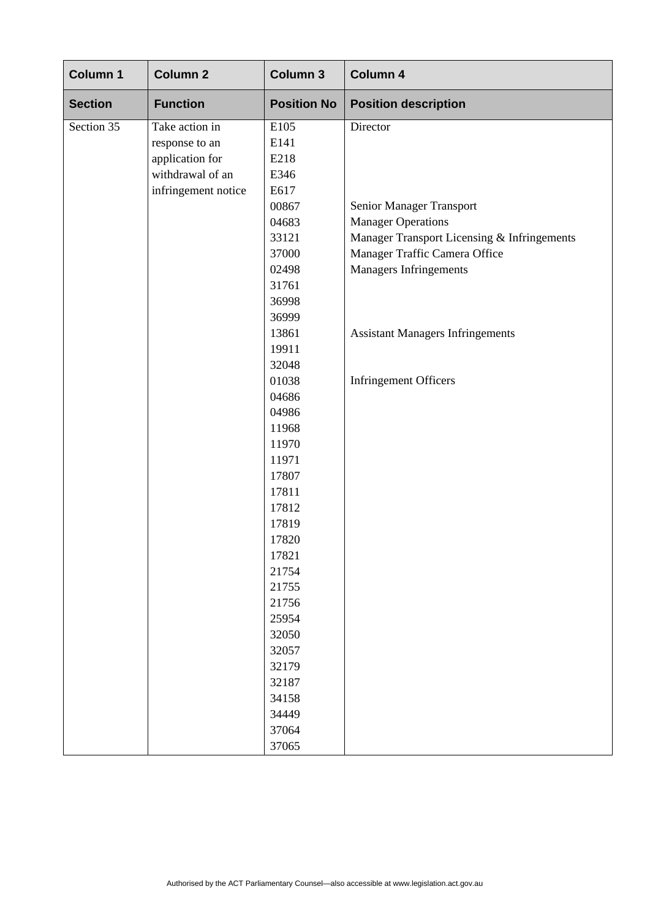| <b>Column 1</b> | <b>Column 2</b>     | Column 3           | Column 4                                    |
|-----------------|---------------------|--------------------|---------------------------------------------|
| <b>Section</b>  | <b>Function</b>     | <b>Position No</b> | <b>Position description</b>                 |
| Section 35      | Take action in      | E105               | Director                                    |
|                 | response to an      | E141               |                                             |
|                 | application for     | E218               |                                             |
|                 | withdrawal of an    | E346               |                                             |
|                 | infringement notice | E617               |                                             |
|                 |                     | 00867              | Senior Manager Transport                    |
|                 |                     | 04683              | <b>Manager Operations</b>                   |
|                 |                     | 33121              | Manager Transport Licensing & Infringements |
|                 |                     | 37000              | Manager Traffic Camera Office               |
|                 |                     | 02498              | Managers Infringements                      |
|                 |                     | 31761              |                                             |
|                 |                     | 36998              |                                             |
|                 |                     | 36999              |                                             |
|                 |                     | 13861              | <b>Assistant Managers Infringements</b>     |
|                 |                     | 19911              |                                             |
|                 |                     | 32048              |                                             |
|                 |                     | 01038              | <b>Infringement Officers</b>                |
|                 |                     | 04686              |                                             |
|                 |                     | 04986              |                                             |
|                 |                     | 11968              |                                             |
|                 |                     | 11970              |                                             |
|                 |                     | 11971              |                                             |
|                 |                     | 17807              |                                             |
|                 |                     | 17811              |                                             |
|                 |                     | 17812              |                                             |
|                 |                     | 17819              |                                             |
|                 |                     | 17820              |                                             |
|                 |                     | 17821              |                                             |
|                 |                     | 21754              |                                             |
|                 |                     | 21755              |                                             |
|                 |                     | 21756              |                                             |
|                 |                     | 25954              |                                             |
|                 |                     | 32050              |                                             |
|                 |                     | 32057              |                                             |
|                 |                     | 32179              |                                             |
|                 |                     | 32187              |                                             |
|                 |                     | 34158              |                                             |
|                 |                     | 34449              |                                             |
|                 |                     | 37064              |                                             |
|                 |                     | 37065              |                                             |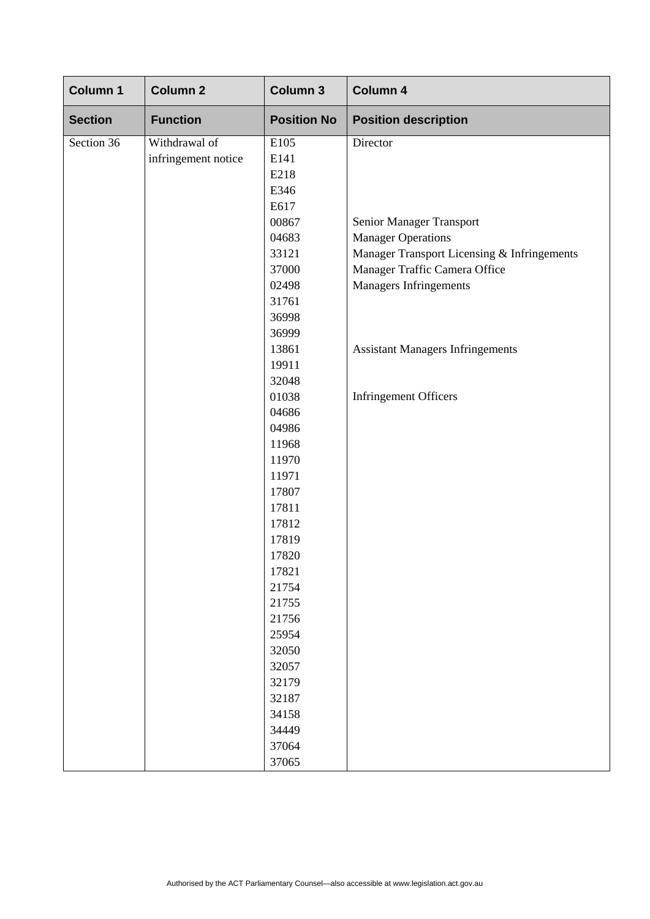| <b>Column 1</b> | <b>Column 2</b>     | <b>Column 3</b>    | <b>Column 4</b>                             |
|-----------------|---------------------|--------------------|---------------------------------------------|
| <b>Section</b>  | <b>Function</b>     | <b>Position No</b> | <b>Position description</b>                 |
| Section 36      | Withdrawal of       | E105               | Director                                    |
|                 | infringement notice | E141               |                                             |
|                 |                     | E218               |                                             |
|                 |                     | E346               |                                             |
|                 |                     | E617               |                                             |
|                 |                     | 00867              | Senior Manager Transport                    |
|                 |                     | 04683              | <b>Manager Operations</b>                   |
|                 |                     | 33121              | Manager Transport Licensing & Infringements |
|                 |                     | 37000              | Manager Traffic Camera Office               |
|                 |                     | 02498              | Managers Infringements                      |
|                 |                     | 31761              |                                             |
|                 |                     | 36998              |                                             |
|                 |                     | 36999              |                                             |
|                 |                     | 13861              | <b>Assistant Managers Infringements</b>     |
|                 |                     | 19911              |                                             |
|                 |                     | 32048              |                                             |
|                 |                     | 01038              | <b>Infringement Officers</b>                |
|                 |                     | 04686              |                                             |
|                 |                     | 04986              |                                             |
|                 |                     | 11968              |                                             |
|                 |                     | 11970              |                                             |
|                 |                     | 11971              |                                             |
|                 |                     | 17807              |                                             |
|                 |                     | 17811              |                                             |
|                 |                     | 17812              |                                             |
|                 |                     | 17819              |                                             |
|                 |                     | 17820              |                                             |
|                 |                     | 17821              |                                             |
|                 |                     | 21754              |                                             |
|                 |                     | 21755              |                                             |
|                 |                     | 21756              |                                             |
|                 |                     | 25954              |                                             |
|                 |                     | 32050              |                                             |
|                 |                     | 32057              |                                             |
|                 |                     | 32179              |                                             |
|                 |                     | 32187              |                                             |
|                 |                     | 34158              |                                             |
|                 |                     | 34449              |                                             |
|                 |                     | 37064              |                                             |
|                 |                     | 37065              |                                             |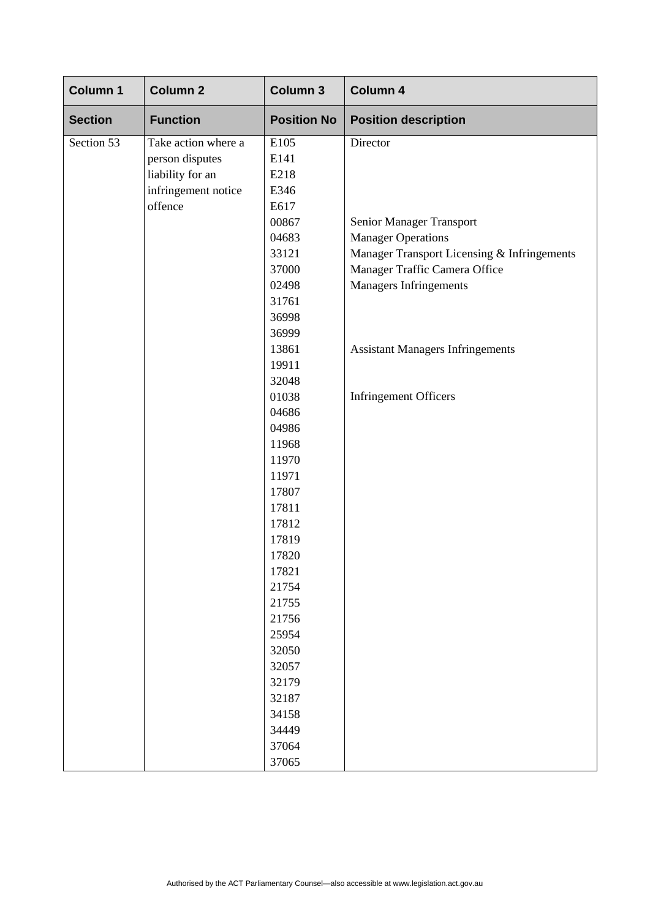| Column 1       | <b>Column 2</b>     | <b>Column 3</b>    | Column 4                                    |
|----------------|---------------------|--------------------|---------------------------------------------|
| <b>Section</b> | <b>Function</b>     | <b>Position No</b> | <b>Position description</b>                 |
| Section 53     | Take action where a | E105               | Director                                    |
|                | person disputes     | E141               |                                             |
|                | liability for an    | E218               |                                             |
|                | infringement notice | E346               |                                             |
|                | offence             | E617               |                                             |
|                |                     | 00867              | Senior Manager Transport                    |
|                |                     | 04683              | <b>Manager Operations</b>                   |
|                |                     | 33121              | Manager Transport Licensing & Infringements |
|                |                     | 37000              | Manager Traffic Camera Office               |
|                |                     | 02498              | Managers Infringements                      |
|                |                     | 31761              |                                             |
|                |                     | 36998              |                                             |
|                |                     | 36999              |                                             |
|                |                     | 13861              | <b>Assistant Managers Infringements</b>     |
|                |                     | 19911              |                                             |
|                |                     | 32048              |                                             |
|                |                     | 01038              | <b>Infringement Officers</b>                |
|                |                     | 04686              |                                             |
|                |                     | 04986              |                                             |
|                |                     | 11968              |                                             |
|                |                     | 11970              |                                             |
|                |                     | 11971              |                                             |
|                |                     | 17807              |                                             |
|                |                     | 17811              |                                             |
|                |                     | 17812              |                                             |
|                |                     | 17819              |                                             |
|                |                     | 17820              |                                             |
|                |                     | 17821              |                                             |
|                |                     | 21754              |                                             |
|                |                     | 21755              |                                             |
|                |                     | 21756              |                                             |
|                |                     | 25954              |                                             |
|                |                     | 32050              |                                             |
|                |                     | 32057              |                                             |
|                |                     | 32179              |                                             |
|                |                     | 32187              |                                             |
|                |                     | 34158              |                                             |
|                |                     | 34449              |                                             |
|                |                     | 37064              |                                             |
|                |                     | 37065              |                                             |